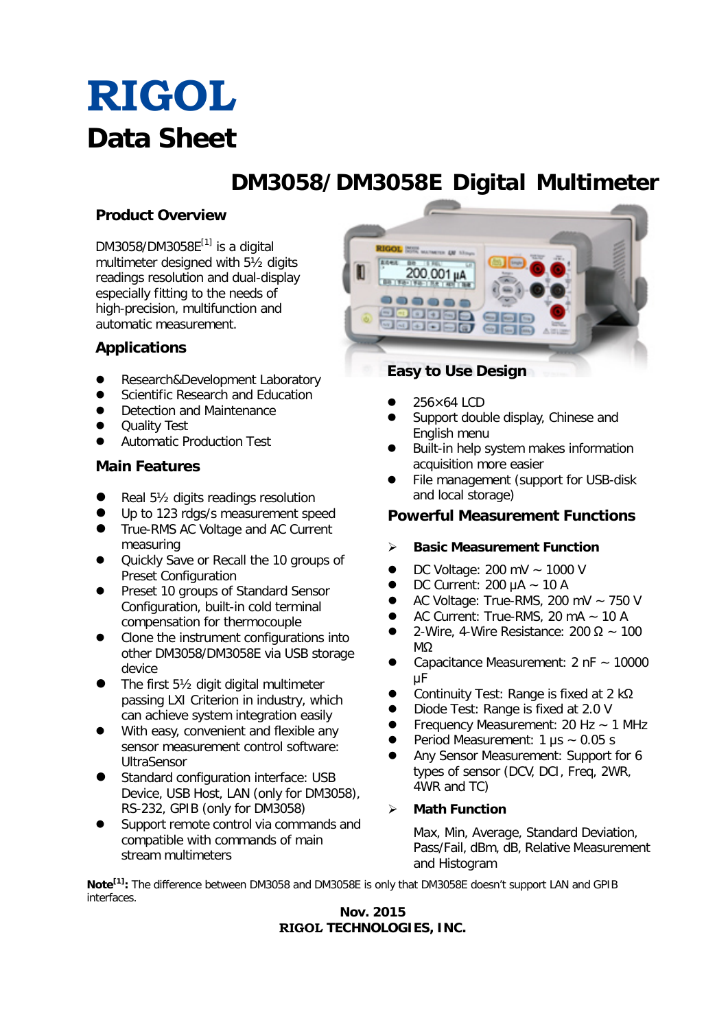# **RIGOL Data Sheet**

## **DM3058/DM3058E Digital Multimeter**

### **Product Overview**

DM3058/DM3058 $E^{[1]}$  is a digital multimeter designed with 5½ digits readings resolution and dual-display especially fitting to the needs of high-precision, multifunction and automatic measurement.

### **Applications**

- Research&Development Laboratory
- Scientific Research and Education
- Detection and Maintenance
- Quality Test
- Automatic Production Test

#### **Main Features**

- Real 5½ digits readings resolution
- Up to 123 rdgs/s measurement speed
- True-RMS AC Voltage and AC Current measuring
- Quickly Save or Recall the 10 groups of Preset Configuration
- Preset 10 groups of Standard Sensor Configuration, built-in cold terminal compensation for thermocouple
- Clone the instrument configurations into other DM3058/DM3058E via USB storage device
- The first 5½ digit digital multimeter passing LXI Criterion in industry, which can achieve system integration easily
- With easy, convenient and flexible any sensor measurement control software: UltraSensor
- Standard configuration interface: USB Device, USB Host, LAN (only for DM3058), RS-232, GPIB (only for DM3058)
- Support remote control via commands and compatible with commands of main stream multimeters



- 256×64 LCD
- Support double display, Chinese and English menu
- Built-in help system makes information acquisition more easier
- File management (support for USB-disk and local storage)

#### **Powerful Measurement Functions**

#### **Basic Measurement Function**

- DC Voltage: 200 mV ~ 1000 V
- DC Current: 200 μA ~ 10 A
- AC Voltage: True-RMS, 200 mV ~ 750 V
- AC Current: True-RMS, 20 mA ~ 10 A
- 2-Wire, 4-Wire Resistance:  $200 \Omega \sim 100$ MΩ
- Capacitance Measurement: 2 nF ~ 10000 μF
- Continuity Test: Range is fixed at 2 kΩ
- Diode Test: Range is fixed at 2.0 V
- Frequency Measurement: 20 Hz ~ 1 MHz
- Period Measurement: 1 μs ~ 0.05 s
- Any Sensor Measurement: Support for 6 types of sensor (DCV, DCI, Freq, 2WR, 4WR and TC)

### **Math Function**

Max, Min, Average, Standard Deviation, Pass/Fail, dBm, dB, Relative Measurement and Histogram

**Note[1]:** The difference between DM3058 and DM3058E is only that DM3058E doesn't support LAN and GPIB interfaces.

#### **Nov. 2015 RIGOL TECHNOLOGIES, INC.**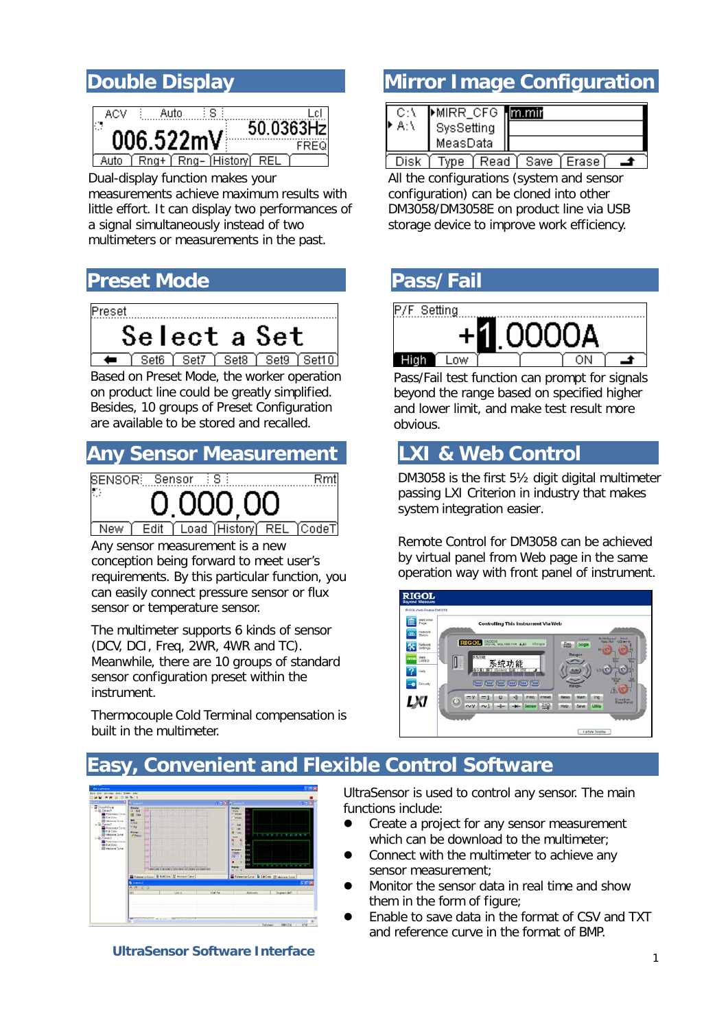

Dual-display function makes your measurements [achieve maximum results with](dict://key.0895DFE8DB67F9409DB285590D870EDD/achieve%20maximum%20results%20with%20little%20effort)  [little effort.](dict://key.0895DFE8DB67F9409DB285590D870EDD/achieve%20maximum%20results%20with%20little%20effort) It can display two performances of a signal simultaneously instead of two multimeters or measurements in the past.

### **Preset Mode Pass/Fail**



 Based on Preset Mode, the worker operation on product line could be greatly simplified. Besides, 10 groups of Preset Configuration are available to be stored and recalled.

### **Any Sensor Measurement LXI & Web Control**



New Edit Load History REL TCodeT

 conception being forward to meet user's Any sensor measurement is a new requirements. By this particular function, you can easily connect pressure sensor or flux sensor or temperature sensor.

 The multimeter supports 6 kinds of sensor (DCV, DCI, Freq, 2WR, 4WR and TC). Meanwhile, there are 10 groups of standard sensor configuration preset within the instrument.

Thermocouple Cold Terminal compensation is built in the multimeter.

### **Double Display The Configuration**

|    | MIRR_CFG <b>mmir</b> |  |
|----|----------------------|--|
| A۵ | SysSetting           |  |
|    | MeasData             |  |
|    |                      |  |

<u>[ Disk | Type | Read | Save | Erase | | ▲</u> All the configurations (system and sensor configuration) can be cloned into other DM3058/DM3058E on product line via USB storage device to improve work efficiency.



Pass/Fail test function can prompt for signals beyond the range based on specified higher and lower limit, and make test result more obvious.

DM3058 is the first 5½ digit digital multimeter passing LXI Criterion in industry that makes system integration easier.

Remote Control for DM3058 can be achieved by virtual panel from Web page in the same operation way with front panel of instrument.



## **Easy, Convenient and Flexible Control Software**



**UltraSensor Software Interface**

UltraSensor is used to control any sensor. The main functions include:

- Create a project for any sensor measurement which can be download to the multimeter;
- Connect with the multimeter to achieve any sensor measurement;
- Monitor the sensor data in real time and show them in the form of figure;
- Enable to save data in the format of CSV and TXT and reference curve in the format of BMP.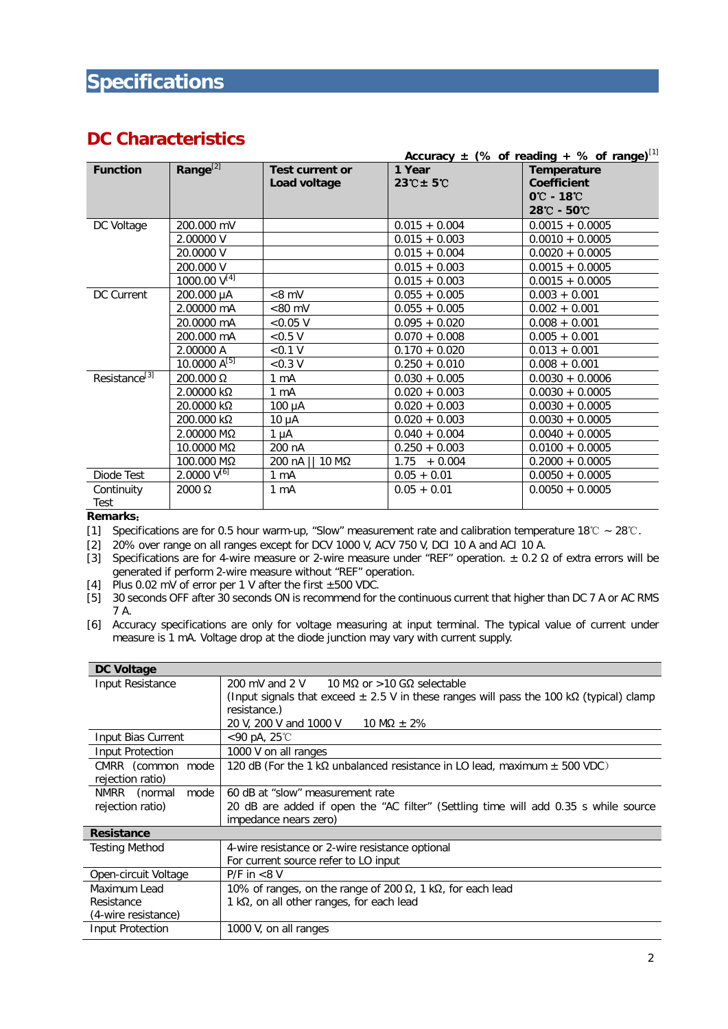### **DC Characteristics**

|                           |                      |                        |                    | <u>Accuracy <math>\pm</math> (% of reading + %</u> of range) <sup>[1]</sup> |
|---------------------------|----------------------|------------------------|--------------------|-----------------------------------------------------------------------------|
| <b>Function</b>           | Range <sup>[2]</sup> | <b>Test current or</b> | 1 Year             | Temperature                                                                 |
|                           |                      | Load voltage           | $23^\circ$ C ± 5°C | <b>Coefficient</b>                                                          |
|                           |                      |                        |                    | $0^{\circ}$ - 18 $^{\circ}$                                                 |
|                           |                      |                        |                    | 28℃ - 50℃                                                                   |
| DC Voltage                | 200.000 mV           |                        | $0.015 + 0.004$    | $0.0015 + 0.0005$                                                           |
|                           | 2.00000 V            |                        | $0.015 + 0.003$    | $0.0010 + 0.0005$                                                           |
|                           | 20.0000 V            |                        | $0.015 + 0.004$    | $0.0020 + 0.0005$                                                           |
|                           | 200.000 V            |                        | $0.015 + 0.003$    | $0.0015 + 0.0005$                                                           |
|                           | 1000.00 $V^{[4]}$    |                        | $0.015 + 0.003$    | $0.0015 + 0.0005$                                                           |
| DC Current                | 200.000 µA           | $< 8$ mV               | $0.055 + 0.005$    | $0.003 + 0.001$                                                             |
|                           | 2.00000 mA           | $< 80$ mV              | $0.055 + 0.005$    | $0.002 + 0.001$                                                             |
|                           | 20.0000 mA           | < 0.05 V               | $0.095 + 0.020$    | $0.008 + 0.001$                                                             |
|                           | 200.000 mA           | < 0.5 V                | $0.070 + 0.008$    | $0.005 + 0.001$                                                             |
|                           | 2.00000 A            | < 0.1 V                | $0.170 + 0.020$    | $0.013 + 0.001$                                                             |
|                           | $10.0000 A^{[5]}$    | < 0.3 V                | $0.250 + 0.010$    | $0.008 + 0.001$                                                             |
| Resistance <sup>[3]</sup> | $200.000 \Omega$     | 1 mA                   | $0.030 + 0.005$    | $0.0030 + 0.0006$                                                           |
|                           | 2.00000 kΩ           | $1 \text{ mA}$         | $0.020 + 0.003$    | $0.0030 + 0.0005$                                                           |
|                           | 20.0000 kΩ           | $100 \mu A$            | $0.020 + 0.003$    | $0.0030 + 0.0005$                                                           |
|                           | 200.000 kΩ           | $10 \mu A$             | $0.020 + 0.003$    | $0.0030 + 0.0005$                                                           |
|                           | 2.00000 MΩ           | $1 \mu A$              | $0.040 + 0.004$    | $0.0040 + 0.0005$                                                           |
|                           | 10.0000 MΩ           | 200 nA                 | $0.250 + 0.003$    | $0.0100 + 0.0005$                                                           |
|                           | 100.000 MΩ           | 200 nA    10 MΩ        | $1.75 + 0.004$     | $0.2000 + 0.0005$                                                           |
| Diode Test                | $2.0000V^{[6]}$      | 1 mA                   | $0.05 + 0.01$      | $0.0050 + 0.0005$                                                           |
| Continuity                | $2000 \Omega$        | $1 \text{ mA}$         | $0.05 + 0.01$      | $0.0050 + 0.0005$                                                           |
| Test                      |                      |                        |                    |                                                                             |

#### **Remarks**:

[1] Specifications are for 0.5 hour warm-up, "Slow" measurement rate and calibration temperature 18℃ ~ 28℃.

[2] 20% over range on all ranges except for DCV 1000 V, ACV 750 V, DCI 10 A and ACI 10 A.

[3] Specifications are for 4-wire measure or 2-wire measure under "REF" operation.  $±$  0.2 Ω of extra errors will be generated if perform 2-wire measure without "REF" operation.

[4] Plus 0.02 mV of error per 1 V after the first  $\pm 500$  VDC.

[5] 30 seconds OFF after 30 seconds ON is recommend for the continuous current that higher than DC 7 A or AC RMS 7 A.

[6] Accuracy specifications are only for voltage measuring at input terminal. The typical value of current under measure is 1 mA. Voltage drop at the diode junction may vary with current supply.

| <b>DC Voltage</b>                                                                                       |                                                                                                                                                 |  |
|---------------------------------------------------------------------------------------------------------|-------------------------------------------------------------------------------------------------------------------------------------------------|--|
| Input Resistance                                                                                        | 200 mV and 2 V $=$ 10 MQ or $>$ 10 GQ selectable<br>(Input signals that exceed $\pm$ 2.5 V in these ranges will pass the 100 kQ (typical) clamp |  |
|                                                                                                         | resistance.)                                                                                                                                    |  |
|                                                                                                         | 20 V, 200 V and 1000 V 10 M $\Omega$ $\pm$ 2%                                                                                                   |  |
| Input Bias Current                                                                                      | <90 pA, 25℃                                                                                                                                     |  |
| Input Protection                                                                                        | 1000 V on all ranges                                                                                                                            |  |
| CMRR (common mode                                                                                       | 120 dB (For the 1 k $\Omega$ unbalanced resistance in LO lead, maximum $\pm$ 500 VDC)                                                           |  |
| rejection ratio)                                                                                        |                                                                                                                                                 |  |
| NMRR<br>(normal<br>mode                                                                                 | 60 dB at "slow" measurement rate                                                                                                                |  |
| 20 dB are added if open the "AC filter" (Settling time will add 0.35 s while source<br>rejection ratio) |                                                                                                                                                 |  |
|                                                                                                         | impedance nears zero)                                                                                                                           |  |
| <b>Resistance</b>                                                                                       |                                                                                                                                                 |  |
| <b>Testing Method</b>                                                                                   | 4-wire resistance or 2-wire resistance optional                                                                                                 |  |
|                                                                                                         | For current source refer to LO input                                                                                                            |  |
| Open-circuit Voltage                                                                                    | $P/F$ in $< 8 V$                                                                                                                                |  |
| Maximum Lead                                                                                            | 10% of ranges, on the range of 200 Ω, 1 kΩ, for each lead                                                                                       |  |
| Resistance                                                                                              | 1 k $\Omega$ , on all other ranges, for each lead                                                                                               |  |
| (4-wire resistance)                                                                                     |                                                                                                                                                 |  |
| Input Protection                                                                                        | 1000 V, on all ranges                                                                                                                           |  |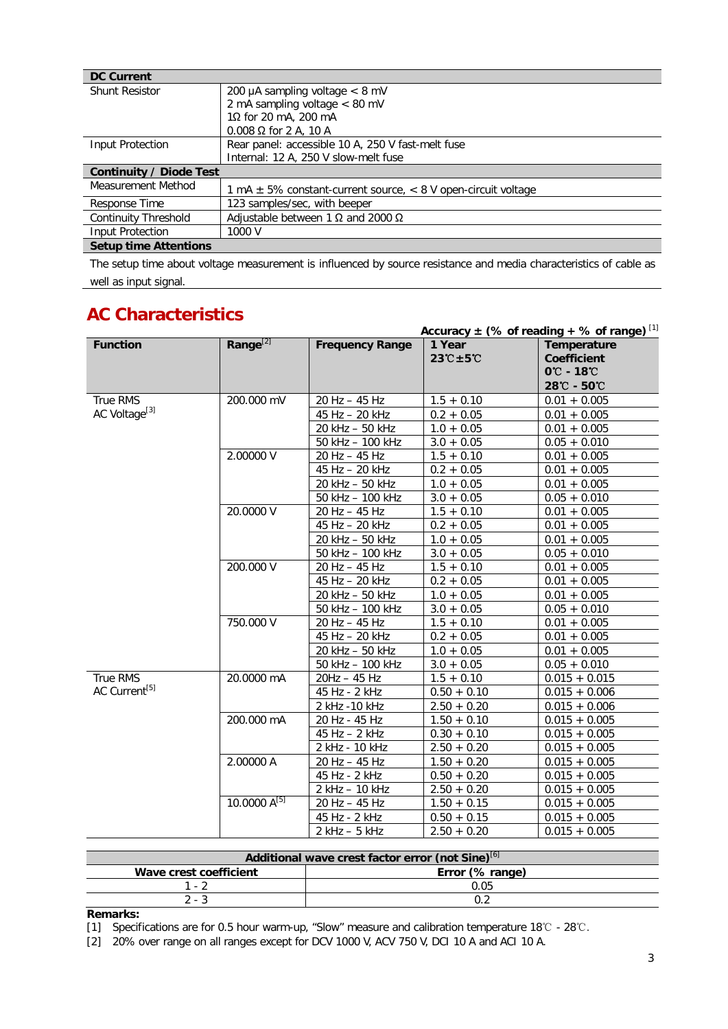| <b>DC Current</b>            |                                                                       |  |
|------------------------------|-----------------------------------------------------------------------|--|
| <b>Shunt Resistor</b>        | 200 µA sampling voltage $<$ 8 mV                                      |  |
|                              | 2 mA sampling voltage < 80 mV                                         |  |
|                              | 1 $\Omega$ for 20 mA, 200 mA                                          |  |
|                              | $0.008$ $\Omega$ for 2 A, 10 A                                        |  |
| Input Protection             | Rear panel: accessible 10 A, 250 V fast-melt fuse                     |  |
|                              | Internal: 12 A, 250 V slow-melt fuse                                  |  |
| Continuity / Diode Test      |                                                                       |  |
| Measurement Method           | 1 mA $\pm$ 5% constant-current source, $\lt$ 8 V open-circuit voltage |  |
| Response Time                | 123 samples/sec, with beeper                                          |  |
| <b>Continuity Threshold</b>  | Adjustable between 1 $\Omega$ and 2000 $\Omega$                       |  |
| Input Protection             | 1000 V                                                                |  |
| <b>Setup time Attentions</b> |                                                                       |  |

The setup time about voltage measurement is influenced by source resistance and media characteristics of cable as well as input signal.

### **AC Characteristics**

|                           |                      |                        |                                                      | <u>Accuracy <math>\pm</math> (% of reading + % of range)</u> [1] |
|---------------------------|----------------------|------------------------|------------------------------------------------------|------------------------------------------------------------------|
| <b>Function</b>           | Range <sup>[2]</sup> | <b>Frequency Range</b> | 1 Year<br>$23^{\circ}\text{C} \pm 5^{\circ}\text{C}$ | Temperature<br><b>Coefficient</b>                                |
|                           |                      |                        |                                                      | $0^{\circ}$ - 18 $^{\circ}$                                      |
|                           |                      |                        |                                                      | 28℃ - 50℃                                                        |
| True RMS                  | 200.000 mV           | 20 Hz - 45 Hz          | $1.5 + 0.10$                                         | $0.01 + 0.005$                                                   |
| AC Voltage <sup>[3]</sup> |                      | 45 Hz - 20 kHz         | $0.2 + 0.05$                                         | $0.01 + 0.005$                                                   |
|                           |                      | 20 kHz - 50 kHz        | $1.0 + 0.05$                                         | $0.01 + 0.005$                                                   |
|                           |                      | 50 kHz - 100 kHz       | $3.0 + 0.05$                                         | $0.05 + 0.010$                                                   |
|                           | 2.00000 V            | 20 Hz - 45 Hz          | $1.5 + 0.10$                                         | $0.01 + 0.005$                                                   |
|                           |                      | 45 Hz - 20 kHz         | $0.2 + 0.05$                                         | $0.01 + 0.005$                                                   |
|                           |                      | 20 kHz - 50 kHz        | $1.0 + 0.05$                                         | $0.01 + 0.005$                                                   |
|                           |                      | 50 kHz - 100 kHz       | $3.0 + 0.05$                                         | $0.05 + 0.010$                                                   |
|                           | 20.0000 V            | 20 Hz - 45 Hz          | $1.5 + 0.10$                                         | $0.01 + 0.005$                                                   |
|                           |                      | 45 Hz - 20 kHz         | $0.2 + 0.05$                                         | $0.01 + 0.005$                                                   |
|                           |                      | 20 kHz - 50 kHz        | $1.0 + 0.05$                                         | $0.01 + 0.005$                                                   |
|                           |                      | 50 kHz - 100 kHz       | $3.0 + 0.05$                                         | $0.05 + 0.010$                                                   |
|                           | 200.000 V            | 20 Hz - 45 Hz          | $1.5 + 0.10$                                         | $0.01 + 0.005$                                                   |
|                           |                      | 45 Hz - 20 kHz         | $0.2 + 0.05$                                         | $0.01 + 0.005$                                                   |
|                           |                      | 20 kHz - 50 kHz        | $1.0 + 0.05$                                         | $0.01 + 0.005$                                                   |
|                           |                      | 50 kHz - 100 kHz       | $3.0 + 0.05$                                         | $0.05 + 0.010$                                                   |
|                           | 750.000 V            | 20 Hz - 45 Hz          | $1.5 + 0.10$                                         | $0.01 + 0.005$                                                   |
|                           |                      | 45 Hz - 20 kHz         | $0.2 + 0.05$                                         | $0.01 + 0.005$                                                   |
|                           |                      | 20 kHz - 50 kHz        | $1.0 + 0.05$                                         | $0.01 + 0.005$                                                   |
|                           |                      | 50 kHz - 100 kHz       | $3.0 + 0.05$                                         | $0.05 + 0.010$                                                   |
| True RMS                  | 20.0000 mA           | 20Hz - 45 Hz           | $1.5 + 0.10$                                         | $0.015 + 0.015$                                                  |
| AC Current <sup>[5]</sup> |                      | 45 Hz - 2 kHz          | $0.50 + 0.10$                                        | $0.015 + 0.006$                                                  |
|                           |                      | 2 kHz - 10 kHz         | $2.50 + 0.20$                                        | $0.015 + 0.006$                                                  |
|                           | 200.000 mA           | 20 Hz - 45 Hz          | $1.50 + 0.10$                                        | $0.015 + 0.005$                                                  |
|                           |                      | $45$ Hz $-$ 2 kHz      | $0.30 + 0.10$                                        | $0.015 + 0.005$                                                  |
|                           |                      | 2 kHz - 10 kHz         | $2.50 + 0.20$                                        | $0.015 + 0.005$                                                  |
|                           | 2.00000 A            | 20 Hz - 45 Hz          | $1.50 + 0.20$                                        | $0.015 + 0.005$                                                  |
|                           |                      | 45 Hz - 2 kHz          | $0.50 + 0.20$                                        | $0.015 + 0.005$                                                  |
|                           |                      | 2 kHz - 10 kHz         | $2.50 + 0.20$                                        | $0.015 + 0.005$                                                  |
|                           | 10.0000 $A^{[5]}$    | 20 Hz - 45 Hz          | $1.50 + 0.15$                                        | $0.015 + 0.005$                                                  |
|                           |                      | 45 Hz - 2 kHz          | $0.50 + 0.15$                                        | $0.015 + 0.005$                                                  |
|                           |                      | $2$ kHz $-5$ kHz       | $2.50 + 0.20$                                        | $0.015 + 0.005$                                                  |

| Additional wave crest factor error (not Sine) <sup>[6]</sup> |                 |  |  |
|--------------------------------------------------------------|-----------------|--|--|
| Wave crest coefficient                                       | Error (% range) |  |  |
| . . 7                                                        | 0.05            |  |  |
| っ - 3                                                        |                 |  |  |

**Remarks:**

[1] Specifications are for 0.5 hour warm-up, "Slow" measure and calibration temperature 18℃ - 28℃.

[2] 20% over range on all ranges except for DCV 1000 V, ACV 750 V, DCI 10 A and ACI 10 A.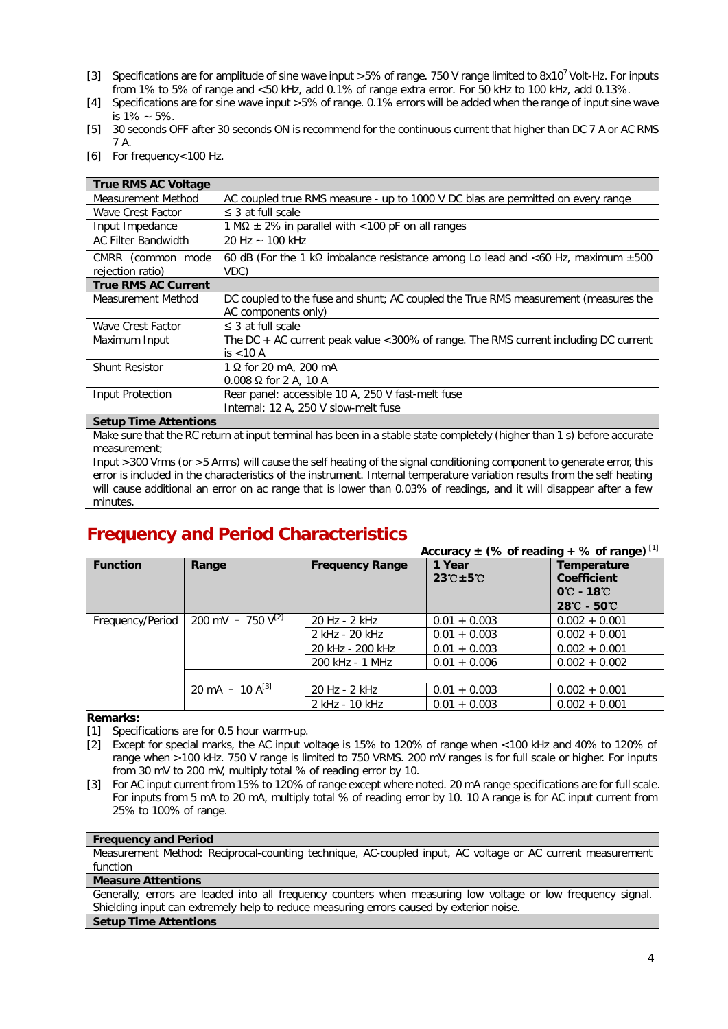- [3] Specifications are for amplitude of sine wave input >5% of range. 750 V range limited to 8x10<sup>7</sup> Volt-Hz. For inputs from 1% to 5% of range and <50 kHz, add 0.1% of range extra error. For 50 kHz to 100 kHz, add 0.13%.
- [4] Specifications are for sine wave input >5% of range. 0.1% errors will be added when the range of input sine wave is 1% ~ 5%.
- [5] 30 seconds OFF after 30 seconds ON is recommend for the continuous current that higher than DC 7 A or AC RMS 7 A.
- [6] For frequency<100 Hz.

| <b>True RMS AC Voltage</b>            |                                                                                                      |  |  |
|---------------------------------------|------------------------------------------------------------------------------------------------------|--|--|
| Measurement Method                    | AC coupled true RMS measure - up to 1000 V DC bias are permitted on every range                      |  |  |
| Wave Crest Factor                     | $\leq$ 3 at full scale                                                                               |  |  |
| Input Impedance                       | 1 M $\Omega$ $\pm$ 2% in parallel with < 100 pF on all ranges                                        |  |  |
| <b>AC Filter Bandwidth</b>            | 20 Hz $\sim$ 100 kHz                                                                                 |  |  |
| CMRR (common mode<br>rejection ratio) | 60 dB (For the 1 k $\Omega$ imbalance resistance among Lo lead and <60 Hz, maximum $\pm 500$<br>VDC) |  |  |
| <b>True RMS AC Current</b>            |                                                                                                      |  |  |
| Measurement Method                    | DC coupled to the fuse and shunt; AC coupled the True RMS measurement (measures the                  |  |  |
|                                       | AC components only)                                                                                  |  |  |
| Wave Crest Factor                     | $\leq$ 3 at full scale                                                                               |  |  |
| Maximum Input                         | The DC + AC current peak value < 300% of range. The RMS current including DC current                 |  |  |
|                                       | is $<$ 10 A                                                                                          |  |  |
| <b>Shunt Resistor</b>                 | $1 \Omega$ for 20 mA, 200 mA                                                                         |  |  |
|                                       | $0.008 \Omega$ for 2 A, 10 A                                                                         |  |  |
| Input Protection                      | Rear panel: accessible 10 A, 250 V fast-melt fuse                                                    |  |  |
|                                       | Internal: 12 A, 250 V slow-melt fuse                                                                 |  |  |

#### **Setup Time Attentions**

Make sure that the RC return at input terminal has been in a stable state completely (higher than 1 s) before accurate measurement;

Input >300 Vrms (or >5 Arms) will cause the self heating of the signal conditioning component to generate error, this error is included in the characteristics of the instrument. Internal temperature variation results from the self heating will cause additional an error on ac range that is lower than 0.03% of readings, and it will disappear after a few minutes.

### **Frequency and Period Characteristics**

|                  |                        |                        | Accuracy $\pm$ (% of reading + % of range) [1] |                                                                                                  |
|------------------|------------------------|------------------------|------------------------------------------------|--------------------------------------------------------------------------------------------------|
| <b>Function</b>  | Range                  | <b>Frequency Range</b> | 1 Year<br>$23^\circ$ C $\pm$ 5 $^\circ$ C      | Temperature<br><b>Coefficient</b><br>$0^\circ$ - 18 $^\circ$<br>$28^{\circ}$ C - 50 $^{\circ}$ C |
| Frequency/Period | 200 mV - 750 $V^{[2]}$ | 20 Hz - 2 kHz          | $0.01 + 0.003$                                 | $0.002 + 0.001$                                                                                  |
|                  |                        | 2 kHz - 20 kHz         | $0.01 + 0.003$                                 | $0.002 + 0.001$                                                                                  |
|                  |                        | 20 kHz - 200 kHz       | $0.01 + 0.003$                                 | $0.002 + 0.001$                                                                                  |
|                  |                        | 200 kHz - 1 MHz        | $0.01 + 0.006$                                 | $0.002 + 0.002$                                                                                  |
|                  |                        |                        |                                                |                                                                                                  |
|                  | 20 mA - 10 $A^{[3]}$   | 20 Hz - 2 kHz          | $0.01 + 0.003$                                 | $0.002 + 0.001$                                                                                  |
|                  |                        | 2 kHz - 10 kHz         | $0.01 + 0.003$                                 | $0.002 + 0.001$                                                                                  |

#### **Remarks:**

[1] Specifications are for 0.5 hour warm-up.

[2] Except for special marks, the AC input voltage is 15% to 120% of range when <100 kHz and 40% to 120% of range when >100 kHz. 750 V range is limited to 750 VRMS. 200 mV ranges is for full scale or higher. For inputs from 30 mV to 200 mV, multiply total % of reading error by 10.

[3] For AC input current from 15% to 120% of range except where noted. 20 mA range specifications are for full scale. For inputs from 5 mA to 20 mA, multiply total % of reading error by 10. 10 A range is for AC input current from 25% to 100% of range.

#### **Frequency and Period**

Measurement Method: Reciprocal-counting technique, AC-coupled input, AC voltage or AC current measurement function

#### **Measure Attentions**

Generally, errors are leaded into all frequency counters when measuring low voltage or low frequency signal. Shielding input can extremely help to reduce measuring errors caused by exterior noise.

#### **Setup Time Attentions**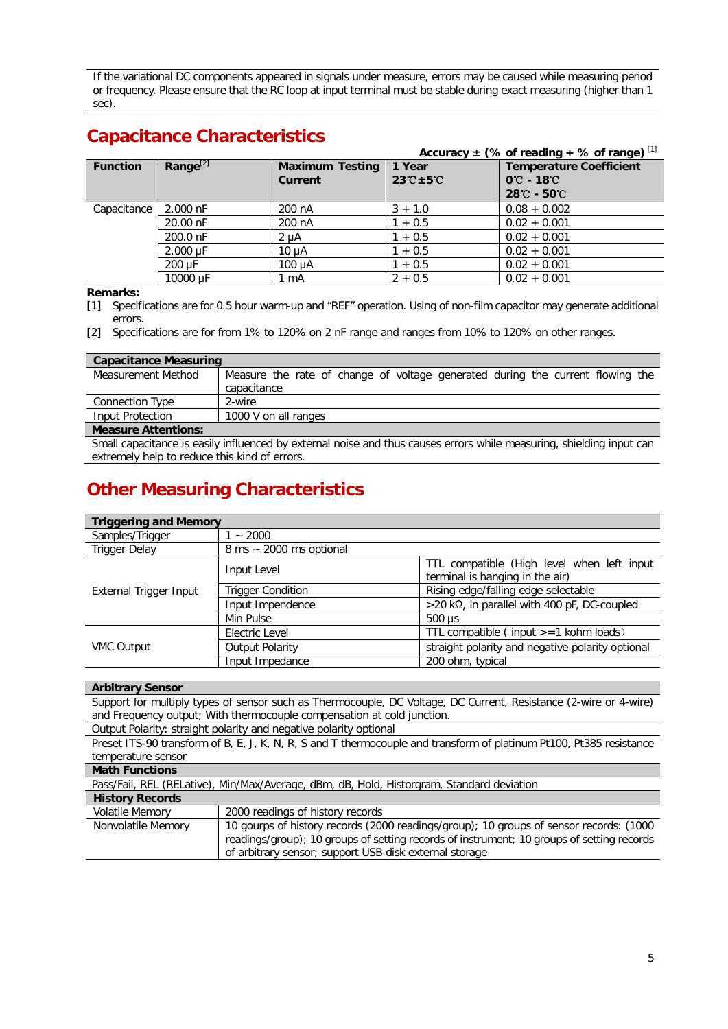If the variational DC components appeared in signals under measure, errors may be caused while measuring period or frequency. Please ensure that the RC loop at input terminal must be stable during exact measuring (higher than 1 sec).

### **Capacitance Characteristics**

|                 |                | Accuracy $\pm$ (% of reading + % of range) [1] |                                           |                                                                                                                  |
|-----------------|----------------|------------------------------------------------|-------------------------------------------|------------------------------------------------------------------------------------------------------------------|
| <b>Function</b> | Range $^{[2]}$ | <b>Maximum Testing</b><br><b>Current</b>       | 1 Year<br>$23^\circ$ C $\pm$ 5 $^\circ$ C | <b>Temperature Coefficient</b><br>$0^{\circ}$ C - 18 $^{\circ}$ C<br>$28^{\circ}\text{C}$ - $50^{\circ}\text{C}$ |
| Capacitance     | 2.000 nF       | 200 nA                                         | $3 + 1.0$                                 | $0.08 + 0.002$                                                                                                   |
|                 | 20.00 nF       | 200 nA                                         | $1 + 0.5$                                 | $0.02 + 0.001$                                                                                                   |
|                 | 200.0 nF       | $2 \mu A$                                      | $1 + 0.5$                                 | $0.02 + 0.001$                                                                                                   |
|                 | 2.000 uF       | $10 \mu$ A                                     | $1 + 0.5$                                 | $0.02 + 0.001$                                                                                                   |
|                 | 200 uF         | 100 uA                                         | $1 + 0.5$                                 | $0.02 + 0.001$                                                                                                   |
|                 | 10000 µF       | $1 \text{ mA}$                                 | $2 + 0.5$                                 | $0.02 + 0.001$                                                                                                   |

#### **Remarks:**

[1] Specifications are for 0.5 hour warm-up and "REF" operation. Using of non-film capacitor may generate additional errors.

[2] Specifications are for from 1% to 120% on 2 nF range and ranges from 10% to 120% on other ranges.

| <b>Capacitance Measuring</b>                                                                                         |                                                                                |  |  |
|----------------------------------------------------------------------------------------------------------------------|--------------------------------------------------------------------------------|--|--|
| Measurement Method                                                                                                   | Measure the rate of change of voltage generated during the current flowing the |  |  |
|                                                                                                                      | capacitance                                                                    |  |  |
| Connection Type                                                                                                      | 2-wire                                                                         |  |  |
| Input Protection                                                                                                     | 1000 V on all ranges                                                           |  |  |
| <b>Measure Attentions:</b>                                                                                           |                                                                                |  |  |
| Small capacitance is easily influenced by external noise and thus causes errors while measuring, shielding input can |                                                                                |  |  |

extremely help to reduce this kind of errors.

### **Other Measuring Characteristics**

| <b>Triggering and Memory</b> |                                                                                              |                                                  |  |
|------------------------------|----------------------------------------------------------------------------------------------|--------------------------------------------------|--|
| Samples/Trigger              | ~1000                                                                                        |                                                  |  |
| <b>Trigger Delay</b>         | $8 \text{ ms} \sim 2000 \text{ ms}$ optional                                                 |                                                  |  |
|                              | TTL compatible (High level when left input<br>Input Level<br>terminal is hanging in the air) |                                                  |  |
| External Trigger Input       | <b>Trigger Condition</b>                                                                     | Rising edge/falling edge selectable              |  |
|                              | Input Impendence                                                                             | $>$ 20 kΩ, in parallel with 400 pF, DC-coupled   |  |
|                              | Min Pulse                                                                                    | $500 \mu s$                                      |  |
|                              | Electric Level                                                                               | TTL compatible (input >=1 kohm loads)            |  |
| <b>VMC Output</b>            | <b>Output Polarity</b>                                                                       | straight polarity and negative polarity optional |  |
|                              | Input Impedance                                                                              | 200 ohm, typical                                 |  |

#### **Arbitrary Sensor**

Support for multiply types of sensor such as Thermocouple, DC Voltage, DC Current, Resistance (2-wire or 4-wire) and Frequency output; With thermocouple compensation at cold junction.

Output Polarity: straight polarity and negative polarity optional

Preset ITS-90 transform of B, E, J, K, N, R, S and T thermocouple and transform of platinum Pt100, Pt385 resistance temperature sensor

| <b>Math Functions</b>  |                                                                                                                                                                                                                                               |  |  |
|------------------------|-----------------------------------------------------------------------------------------------------------------------------------------------------------------------------------------------------------------------------------------------|--|--|
|                        | Pass/Fail, REL (RELative), Min/Max/Average, dBm, dB, Hold, Historgram, Standard deviation                                                                                                                                                     |  |  |
| <b>History Records</b> |                                                                                                                                                                                                                                               |  |  |
| <b>Volatile Memory</b> | 2000 readings of history records                                                                                                                                                                                                              |  |  |
| Nonvolatile Memory     | 10 gourps of history records (2000 readings/group); 10 groups of sensor records: (1000<br>readings/group); 10 groups of setting records of instrument; 10 groups of setting records<br>of arbitrary sensor; support USB-disk external storage |  |  |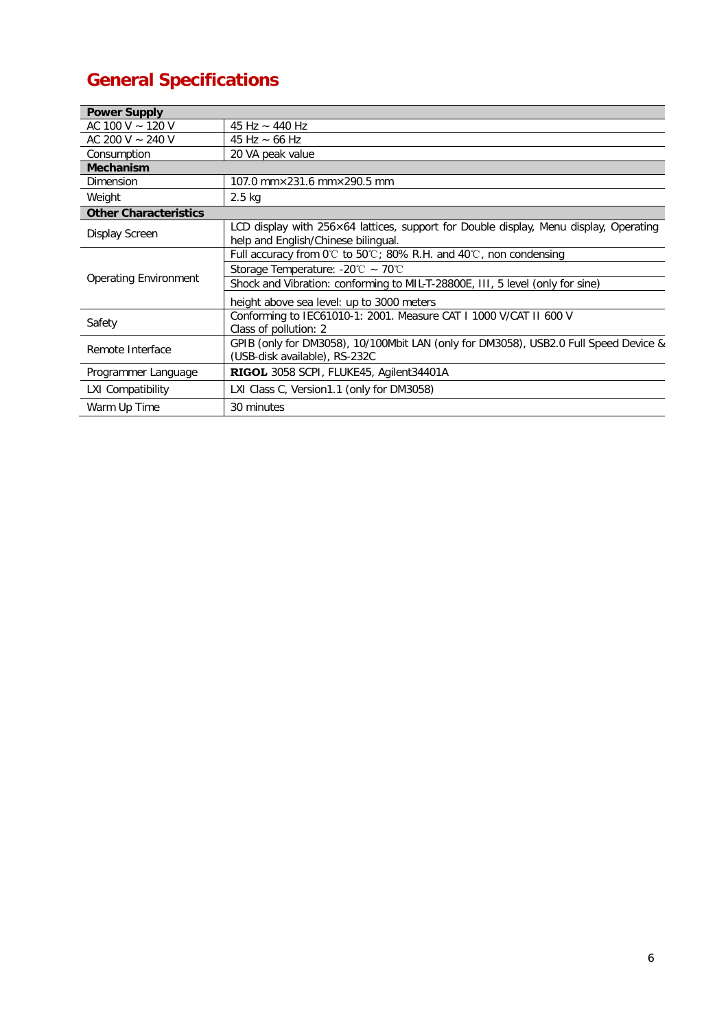## **General Specifications**

| <b>Power Supply</b>          |                                                                                                                              |
|------------------------------|------------------------------------------------------------------------------------------------------------------------------|
| AC 100 V $\sim$ 120 V        | 45 Hz $\sim$ 440 Hz                                                                                                          |
| AC 200 V $\sim$ 240 V        | 45 Hz $\sim$ 66 Hz                                                                                                           |
| Consumption                  | 20 VA peak value                                                                                                             |
| <b>Mechanism</b>             |                                                                                                                              |
| Dimension                    | 107.0 mm×231.6 mm×290.5 mm                                                                                                   |
| Weight                       | $2.5$ kg                                                                                                                     |
| <b>Other Characteristics</b> |                                                                                                                              |
| Display Screen               | LCD display with 256×64 lattices, support for Double display, Menu display, Operating<br>help and English/Chinese bilingual. |
| <b>Operating Environment</b> | Full accuracy from $0^{\circ}$ to $50^{\circ}$ ; 80% R.H. and $40^{\circ}$ C, non condensing                                 |
|                              | Storage Temperature: -20 $\degree$ C ~ 70 $\degree$ C                                                                        |
|                              | Shock and Vibration: conforming to MIL-T-28800E, III, 5 level (only for sine)                                                |
|                              | height above sea level: up to 3000 meters                                                                                    |
| Safety                       | Conforming to IEC61010-1: 2001. Measure CAT I 1000 V/CAT II 600 V<br>Class of pollution: 2                                   |
| Remote Interface             | GPIB (only for DM3058), 10/100Mbit LAN (only for DM3058), USB2.0 Full Speed Device &<br>(USB-disk available), RS-232C        |
| Programmer Language          | RIGOL 3058 SCPI, FLUKE45, Agilent34401A                                                                                      |
| <b>LXI Compatibility</b>     | LXI Class C, Version1.1 (only for DM3058)                                                                                    |
| Warm Up Time                 | 30 minutes                                                                                                                   |